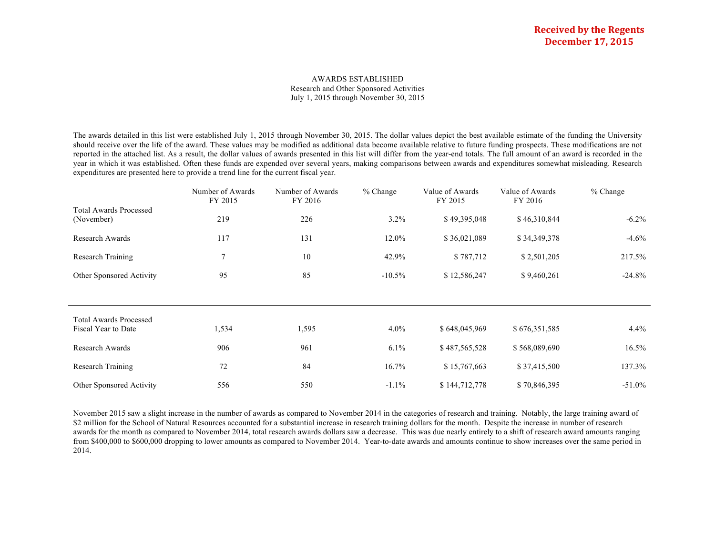#### AWARDS ESTABLISHED Research and Other Sponsored Activities July 1, 2015 through November 30, 2015

The awards detailed in this list were established July 1, 2015 through November 30, 2015. The dollar values depict the best available estimate of the funding the University should receive over the life of the award. These values may be modified as additional data become available relative to future funding prospects. These modifications are not reported in the attached list. As a result, the dollar values of awards presented in this list will differ from the year-end totals. The full amount of an award is recorded in the year in which it was established. Often these funds are expended over several years, making comparisons between awards and expenditures somewhat misleading. Research expenditures are presented here to provide a trend line for the current fiscal year.

|                                                      | Number of Awards<br>FY 2015 | Number of Awards<br>FY 2016 | $%$ Change | Value of Awards<br>FY 2015 | Value of Awards<br>FY 2016 | $%$ Change |
|------------------------------------------------------|-----------------------------|-----------------------------|------------|----------------------------|----------------------------|------------|
| <b>Total Awards Processed</b><br>(November)          | 219                         | 226                         | $3.2\%$    | \$49,395,048               | \$46,310,844               | $-6.2\%$   |
| Research Awards                                      | 117                         | 131                         | 12.0%      | \$36,021,089               | \$34,349,378               | $-4.6%$    |
| <b>Research Training</b>                             |                             | 10                          | 42.9%      | \$787,712                  | \$2,501,205                | 217.5%     |
| Other Sponsored Activity                             | 95                          | 85                          | $-10.5\%$  | \$12,586,247               | \$9,460,261                | $-24.8\%$  |
|                                                      |                             |                             |            |                            |                            |            |
| <b>Total Awards Processed</b><br>Fiscal Year to Date | 1,534                       | 1,595                       | $4.0\%$    | \$648,045,969              | \$676,351,585              | 4.4%       |
| Research Awards                                      | 906                         | 961                         | $6.1\%$    | \$487,565,528              | \$568,089,690              | $16.5\%$   |
| Research Training                                    | 72                          | 84                          | 16.7%      | \$15,767,663               | \$37,415,500               | 137.3%     |
| Other Sponsored Activity                             | 556                         | 550                         | $-1.1\%$   | \$144,712,778              | \$70,846,395               | $-51.0\%$  |

November 2015 saw a slight increase in the number of awards as compared to November 2014 in the categories of research and training. Notably, the large training award of \$2 million for the School of Natural Resources accounted for a substantial increase in research training dollars for the month. Despite the increase in number of research awards for the month as compared to November 2014, total research awards dollars saw a decrease. This was due nearly entirely to a shift of research award amounts ranging from \$400,000 to \$600,000 dropping to lower amounts as compared to November 2014. Year-to-date awards and amounts continue to show increases over the same period in 2014.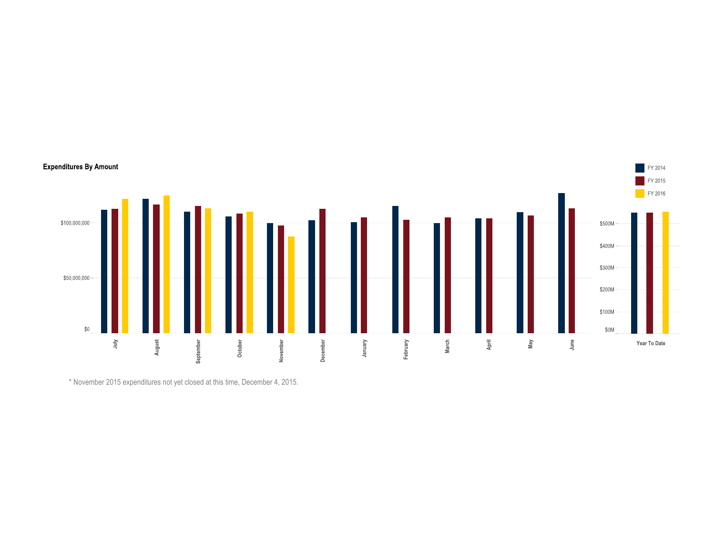

\* November 2015 expenditures not yet closed at this time, December 4, 2015.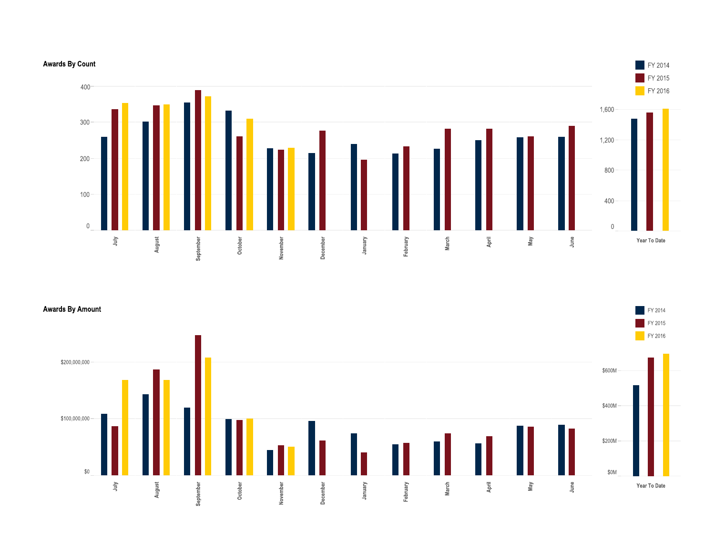# **Awards By Count**



**Awards By Amount** 



**FY 2014** FY 2015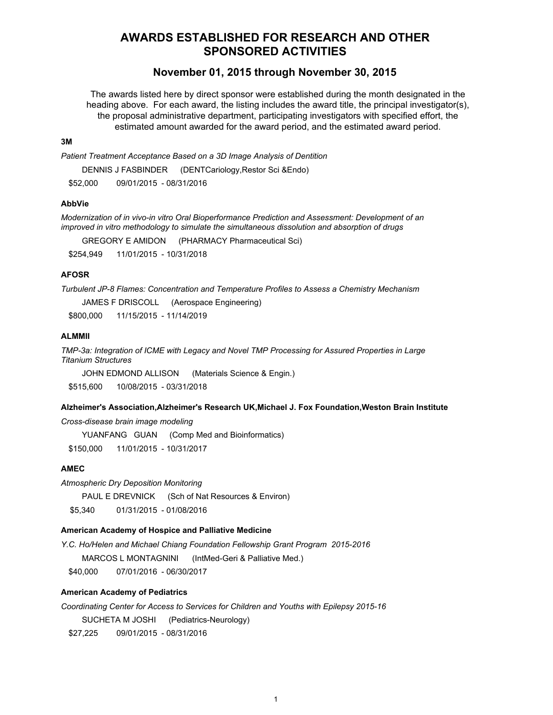# **AWARDS ESTABLISHED FOR RESEARCH AND OTHER SPONSORED ACTIVITIES**

# **November 01, 2015 through November 30, 2015**

The awards listed here by direct sponsor were established during the month designated in the heading above. For each award, the listing includes the award title, the principal investigator(s), the proposal administrative department, participating investigators with specified effort, the estimated amount awarded for the award period, and the estimated award period.

### **3M**

*Patient Treatment Acceptance Based on a 3D Image Analysis of Dentition* 

DENNIS J FASBINDER (DENTCariology,Restor Sci &Endo)

\$52,000 09/01/2015 - 08/31/2016

# **AbbVie**

*Modernization of in vivo-in vitro Oral Bioperformance Prediction and Assessment: Development of an improved in vitro methodology to simulate the simultaneous dissolution and absorption of drugs*

GREGORY E AMIDON (PHARMACY Pharmaceutical Sci)

\$254,949 11/01/2015 - 10/31/2018

# **AFOSR**

*Turbulent JP-8 Flames: Concentration and Temperature Profiles to Assess a Chemistry Mechanism*

JAMES F DRISCOLL (Aerospace Engineering)

\$800,000 11/15/2015 - 11/14/2019

# **ALMMII**

*TMP-3a: Integration of ICME with Legacy and Novel TMP Processing for Assured Properties in Large Titanium Structures*

JOHN EDMOND ALLISON (Materials Science & Engin.)

\$515,600 10/08/2015 - 03/31/2018

# **Alzheimer's Association,Alzheimer's Research UK,Michael J. Fox Foundation,Weston Brain Institute**

*Cross-disease brain image modeling*

YUANFANG GUAN (Comp Med and Bioinformatics)

\$150,000 11/01/2015 - 10/31/2017

# **AMEC**

*Atmospheric Dry Deposition Monitoring*

PAUL E DREVNICK (Sch of Nat Resources & Environ)

\$5,340 01/31/2015 - 01/08/2016

# **American Academy of Hospice and Palliative Medicine**

*Y.C. Ho/Helen and Michael Chiang Foundation Fellowship Grant Program 2015-2016* MARCOS L MONTAGNINI (IntMed-Geri & Palliative Med.) \$40,000 07/01/2016 - 06/30/2017

#### **American Academy of Pediatrics**

*Coordinating Center for Access to Services for Children and Youths with Epilepsy 2015-16* SUCHETA M JOSHI (Pediatrics-Neurology)

\$27,225 09/01/2015 - 08/31/2016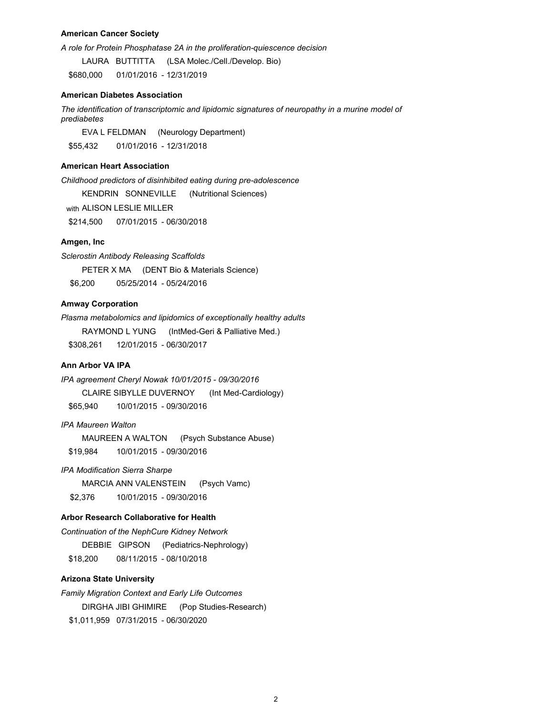# **American Cancer Society**

*A role for Protein Phosphatase 2A in the proliferation-quiescence decision*

LAURA BUTTITTA (LSA Molec./Cell./Develop. Bio) \$680,000 01/01/2016 - 12/31/2019

#### **American Diabetes Association**

*The identification of transcriptomic and lipidomic signatures of neuropathy in a murine model of prediabetes*

EVA L FELDMAN (Neurology Department) \$55,432 01/01/2016 - 12/31/2018

# **American Heart Association**

*Childhood predictors of disinhibited eating during pre-adolescence*

KENDRIN SONNEVILLE (Nutritional Sciences)

with ALISON LESLIE MILLER

\$214,500 07/01/2015 - 06/30/2018

# **Amgen, Inc**

*Sclerostin Antibody Releasing Scaffolds* PETER X MA (DENT Bio & Materials Science) \$6,200 05/25/2014 - 05/24/2016

# **Amway Corporation**

*Plasma metabolomics and lipidomics of exceptionally healthy adults* RAYMOND L YUNG (IntMed-Geri & Palliative Med.) \$308,261 12/01/2015 - 06/30/2017

# **Ann Arbor VA IPA**

*IPA agreement Cheryl Nowak 10/01/2015 - 09/30/2016* CLAIRE SIBYLLE DUVERNOY (Int Med-Cardiology) \$65,940 10/01/2015 - 09/30/2016

*IPA Maureen Walton*

MAUREEN A WALTON (Psych Substance Abuse) \$19,984 10/01/2015 - 09/30/2016

*IPA Modification Sierra Sharpe*

MARCIA ANN VALENSTEIN (Psych Vamc) \$2,376 10/01/2015 - 09/30/2016

# **Arbor Research Collaborative for Health**

*Continuation of the NephCure Kidney Network* DEBBIE GIPSON (Pediatrics-Nephrology) \$18,200 08/11/2015 - 08/10/2018

# **Arizona State University**

*Family Migration Context and Early Life Outcomes*  DIRGHA JIBI GHIMIRE (Pop Studies-Research) \$1,011,959 07/31/2015 - 06/30/2020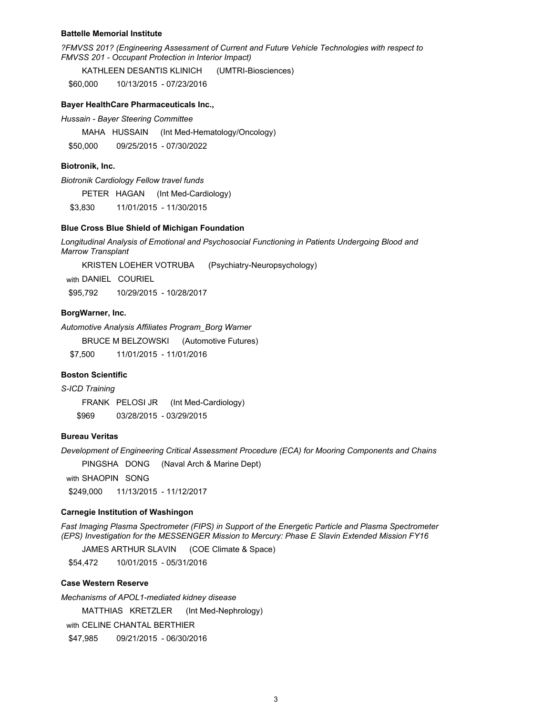#### **Battelle Memorial Institute**

*?FMVSS 201? (Engineering Assessment of Current and Future Vehicle Technologies with respect to FMVSS 201 - Occupant Protection in Interior Impact)*

KATHLEEN DESANTIS KLINICH (UMTRI-Biosciences)

\$60,000 10/13/2015 - 07/23/2016

### **Bayer HealthCare Pharmaceuticals Inc.,**

*Hussain - Bayer Steering Committee*

MAHA HUSSAIN (Int Med-Hematology/Oncology)

\$50,000 09/25/2015 - 07/30/2022

#### **Biotronik, Inc.**

*Biotronik Cardiology Fellow travel funds*

PETER HAGAN (Int Med-Cardiology)

\$3,830 11/01/2015 - 11/30/2015

### **Blue Cross Blue Shield of Michigan Foundation**

*Longitudinal Analysis of Emotional and Psychosocial Functioning in Patients Undergoing Blood and Marrow Transplant*

KRISTEN LOEHER VOTRUBA (Psychiatry-Neuropsychology)

with DANIEL COURIEL

\$95,792 10/29/2015 - 10/28/2017

### **BorgWarner, Inc.**

*Automotive Analysis Affiliates Program\_Borg Warner*

BRUCE M BELZOWSKI (Automotive Futures)

\$7,500 11/01/2015 - 11/01/2016

### **Boston Scientific**

*S-ICD Training*

FRANK PELOSI JR (Int Med-Cardiology) \$969 03/28/2015 - 03/29/2015

# **Bureau Veritas**

*Development of Engineering Critical Assessment Procedure (ECA) for Mooring Components and Chains*

PINGSHA DONG (Naval Arch & Marine Dept)

with SHAOPIN SONG

\$249,000 11/13/2015 - 11/12/2017

# **Carnegie Institution of Washingon**

*Fast Imaging Plasma Spectrometer (FIPS) in Support of the Energetic Particle and Plasma Spectrometer (EPS) Investigation for the MESSENGER Mission to Mercury: Phase E Slavin Extended Mission FY16*

JAMES ARTHUR SLAVIN (COE Climate & Space)

\$54,472 10/01/2015 - 05/31/2016

#### **Case Western Reserve**

*Mechanisms of APOL1-mediated kidney disease* MATTHIAS KRETZLER (Int Med-Nephrology) with CELINE CHANTAL BERTHIER

\$47,985 09/21/2015 - 06/30/2016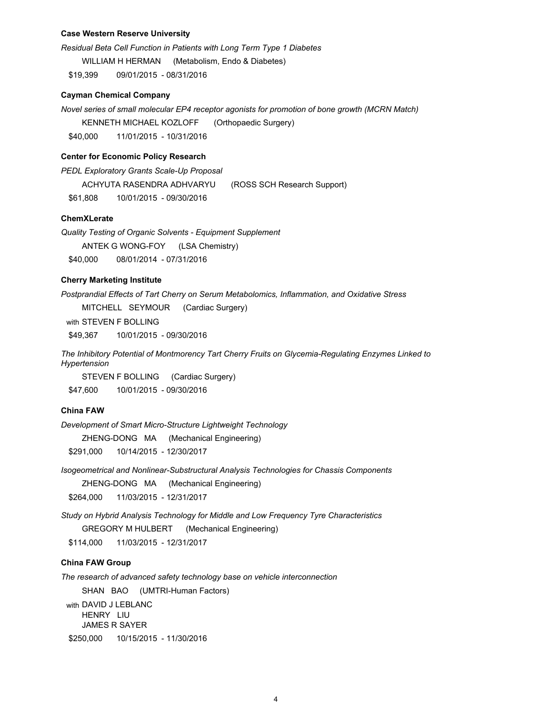### **Case Western Reserve University**

*Residual Beta Cell Function in Patients with Long Term Type 1 Diabetes* WILLIAM H HERMAN (Metabolism, Endo & Diabetes) \$19,399 09/01/2015 - 08/31/2016

#### **Cayman Chemical Company**

*Novel series of small molecular EP4 receptor agonists for promotion of bone growth (MCRN Match)* 

KENNETH MICHAEL KOZLOFF (Orthopaedic Surgery)

\$40,000 11/01/2015 - 10/31/2016

# **Center for Economic Policy Research**

*PEDL Exploratory Grants Scale-Up Proposal*

ACHYUTA RASENDRA ADHVARYU (ROSS SCH Research Support)

\$61,808 10/01/2015 - 09/30/2016

# **ChemXLerate**

*Quality Testing of Organic Solvents - Equipment Supplement* ANTEK G WONG-FOY (LSA Chemistry) \$40,000 08/01/2014 - 07/31/2016

# **Cherry Marketing Institute**

*Postprandial Effects of Tart Cherry on Serum Metabolomics, Inflammation, and Oxidative Stress*

MITCHELL SEYMOUR (Cardiac Surgery)

with STEVEN F BOLLING

\$49,367 10/01/2015 - 09/30/2016

*The Inhibitory Potential of Montmorency Tart Cherry Fruits on Glycemia-Regulating Enzymes Linked to Hypertension*

STEVEN F BOLLING (Cardiac Surgery) \$47,600 10/01/2015 - 09/30/2016

### **China FAW**

*Development of Smart Micro-Structure Lightweight Technology*

ZHENG-DONG MA (Mechanical Engineering)

\$291,000 10/14/2015 - 12/30/2017

*Isogeometrical and Nonlinear-Substructural Analysis Technologies for Chassis Components*

ZHENG-DONG MA (Mechanical Engineering)

\$264,000 11/03/2015 - 12/31/2017

*Study on Hybrid Analysis Technology for Middle and Low Frequency Tyre Characteristics* GREGORY M HULBERT (Mechanical Engineering)

\$114,000 11/03/2015 - 12/31/2017

# **China FAW Group**

*The research of advanced safety technology base on vehicle interconnection*

SHAN BAO (UMTRI-Human Factors)

with DAVID J LEBLANC HENRY LIU JAMES R SAYER \$250,000 10/15/2015 - 11/30/2016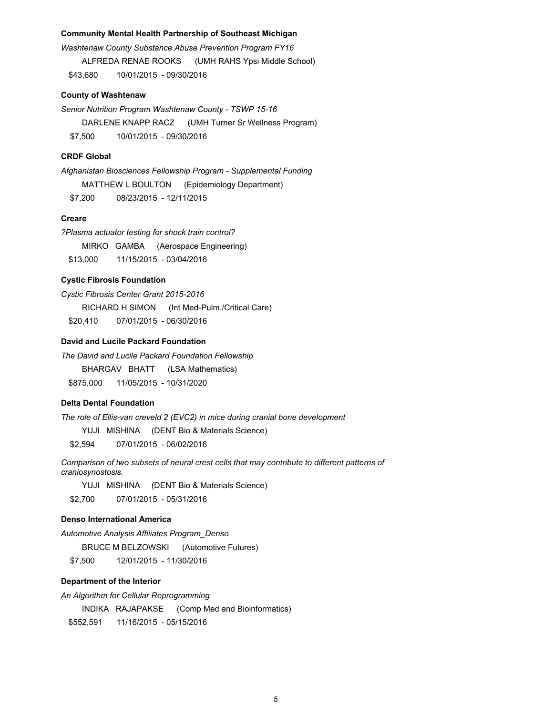#### **Community Mental Health Partnership of Southeast Michigan**

*Washtenaw County Substance Abuse Prevention Program FY16* ALFREDA RENAE ROOKS (UMH RAHS Ypsi Middle School) \$43,680 10/01/2015 - 09/30/2016

# **County of Washtenaw**

*Senior Nutrition Program Washtenaw County - TSWP 15-16* DARLENE KNAPP RACZ (UMH Turner Sr Wellness Program) \$7,500 10/01/2015 - 09/30/2016

# **CRDF Global**

*Afghanistan Biosciences Fellowship Program - Supplemental Funding* MATTHEW L BOULTON (Epidemiology Department) \$7,200 08/23/2015 - 12/11/2015

# **Creare**

*?Plasma actuator testing for shock train control?* MIRKO GAMBA (Aerospace Engineering) \$13,000 11/15/2015 - 03/04/2016

# **Cystic Fibrosis Foundation**

*Cystic Fibrosis Center Grant 2015-2016*

RICHARD H SIMON (Int Med-Pulm./Critical Care)

\$20,410 07/01/2015 - 06/30/2016

# **David and Lucile Packard Foundation**

*The David and Lucile Packard Foundation Fellowship*

BHARGAV BHATT (LSA Mathematics)

\$875,000 11/05/2015 - 10/31/2020

# **Delta Dental Foundation**

*The role of Ellis-van creveld 2 (EVC2) in mice during cranial bone development*

YUJI MISHINA (DENT Bio & Materials Science)

\$2,594 07/01/2015 - 06/02/2016

*Comparison of two subsets of neural crest cells that may contribute to different patterns of craniosynostosis.*

YUJI MISHINA (DENT Bio & Materials Science) \$2,700 07/01/2015 - 05/31/2016

#### **Denso International America**

*Automotive Analysis Affiliates Program\_Denso*

BRUCE M BELZOWSKI (Automotive Futures)

\$7,500 12/01/2015 - 11/30/2016

# **Department of the Interior**

*An Algorithm for Cellular Reprogramming*

INDIKA RAJAPAKSE (Comp Med and Bioinformatics)

\$552,591 11/16/2015 - 05/15/2016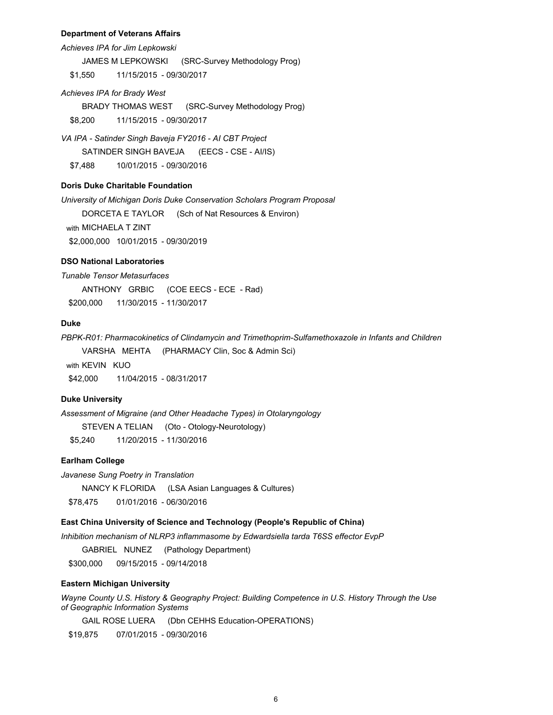### **Department of Veterans Affairs**

*Achieves IPA for Jim Lepkowski*

JAMES M LEPKOWSKI (SRC-Survey Methodology Prog)

\$1,550 11/15/2015 - 09/30/2017

#### *Achieves IPA for Brady West*

BRADY THOMAS WEST (SRC-Survey Methodology Prog) \$8,200 11/15/2015 - 09/30/2017

*VA IPA - Satinder Singh Baveja FY2016 - AI CBT Project* SATINDER SINGH BAVEJA (EECS - CSE - AI/IS) \$7,488 10/01/2015 - 09/30/2016

# **Doris Duke Charitable Foundation**

*University of Michigan Doris Duke Conservation Scholars Program Proposal*

DORCETA E TAYLOR (Sch of Nat Resources & Environ)

with MICHAELA T ZINT

\$2,000,000 10/01/2015 - 09/30/2019

# **DSO National Laboratories**

*Tunable Tensor Metasurfaces*

ANTHONY GRBIC (COE EECS - ECE - Rad)

\$200,000 11/30/2015 - 11/30/2017

# **Duke**

*PBPK-R01: Pharmacokinetics of Clindamycin and Trimethoprim-Sulfamethoxazole in Infants and Children*

VARSHA MEHTA (PHARMACY Clin, Soc & Admin Sci)

with KFVIN KUO \$42,000 11/04/2015 - 08/31/2017

### **Duke University**

*Assessment of Migraine (and Other Headache Types) in Otolaryngology*

STEVEN A TELIAN (Oto - Otology-Neurotology)

\$5,240 11/20/2015 - 11/30/2016

# **Earlham College**

*Javanese Sung Poetry in Translation*

NANCY K FLORIDA (LSA Asian Languages & Cultures)

\$78,475 01/01/2016 - 06/30/2016

# **East China University of Science and Technology (People's Republic of China)**

*Inhibition mechanism of NLRP3 inflammasome by Edwardsiella tarda T6SS effector EvpP*

GABRIEL NUNEZ (Pathology Department)

\$300,000 09/15/2015 - 09/14/2018

# **Eastern Michigan University**

*Wayne County U.S. History & Geography Project: Building Competence in U.S. History Through the Use of Geographic Information Systems*

GAIL ROSE LUERA (Dbn CEHHS Education-OPERATIONS)

\$19,875 07/01/2015 - 09/30/2016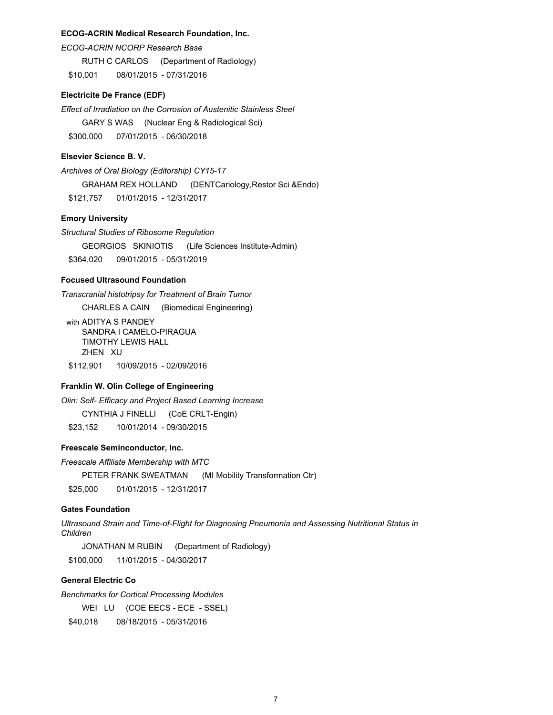#### **ECOG-ACRIN Medical Research Foundation, Inc.**

*ECOG-ACRIN NCORP Research Base*

RUTH C CARLOS (Department of Radiology)

\$10,001 08/01/2015 - 07/31/2016

# **Electricite De France (EDF)**

*Effect of Irradiation on the Corrosion of Austenitic Stainless Steel* GARY S WAS (Nuclear Eng & Radiological Sci) \$300,000 07/01/2015 - 06/30/2018

# **Elsevier Science B. V.**

*Archives of Oral Biology (Editorship) CY15-17* GRAHAM REX HOLLAND (DENTCariology,Restor Sci &Endo) \$121,757 01/01/2015 - 12/31/2017

# **Emory University**

*Structural Studies of Ribosome Regulation* GEORGIOS SKINIOTIS (Life Sciences Institute-Admin)

\$364,020 09/01/2015 - 05/31/2019

# **Focused Ultrasound Foundation**

*Transcranial histotripsy for Treatment of Brain Tumor*

CHARLES A CAIN (Biomedical Engineering)

with ADITYA S PANDEY SANDRA I CAMELO-PIRAGUA TIMOTHY LEWIS HALL ZHEN XU \$112,901 10/09/2015 - 02/09/2016

# **Franklin W. Olin College of Engineering**

*Olin: Self- Efficacy and Project Based Learning Increase*

CYNTHIA J FINELLI (CoE CRLT-Engin)

\$23,152 10/01/2014 - 09/30/2015

# **Freescale Seminconductor, Inc.**

*Freescale Affiliate Membership with MTC*

PETER FRANK SWEATMAN (MI Mobility Transformation Ctr)

\$25,000 01/01/2015 - 12/31/2017

#### **Gates Foundation**

*Ultrasound Strain and Time-of-Flight for Diagnosing Pneumonia and Assessing Nutritional Status in Children*

JONATHAN M RUBIN (Department of Radiology) \$100,000 11/01/2015 - 04/30/2017

# **General Electric Co**

*Benchmarks for Cortical Processing Modules*

WEI LU (COE EECS - ECE - SSEL)

\$40,018 08/18/2015 - 05/31/2016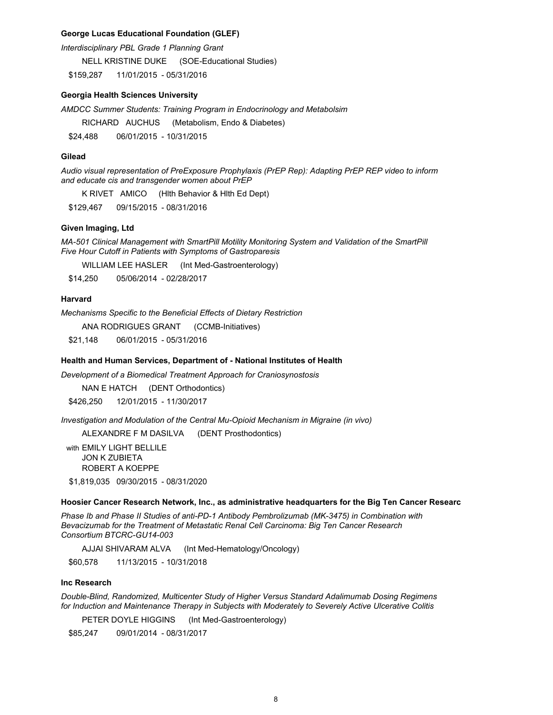### **George Lucas Educational Foundation (GLEF)**

*Interdisciplinary PBL Grade 1 Planning Grant*

NELL KRISTINE DUKE (SOE-Educational Studies)

\$159,287 11/01/2015 - 05/31/2016

## **Georgia Health Sciences University**

*AMDCC Summer Students: Training Program in Endocrinology and Metabolsim*

RICHARD AUCHUS (Metabolism, Endo & Diabetes)

\$24,488 06/01/2015 - 10/31/2015

## **Gilead**

*Audio visual representation of PreExposure Prophylaxis (PrEP Rep): Adapting PrEP REP video to inform and educate cis and transgender women about PrEP*

K RIVET AMICO (Hlth Behavior & Hlth Ed Dept)

\$129,467 09/15/2015 - 08/31/2016

# **Given Imaging, Ltd**

*MA-501 Clinical Management with SmartPill Motility Monitoring System and Validation of the SmartPill Five Hour Cutoff in Patients with Symptoms of Gastroparesis*

WILLIAM LEE HASLER (Int Med-Gastroenterology)

\$14,250 05/06/2014 - 02/28/2017

### **Harvard**

*Mechanisms Specific to the Beneficial Effects of Dietary Restriction*

ANA RODRIGUES GRANT (CCMB-Initiatives)

\$21,148 06/01/2015 - 05/31/2016

#### **Health and Human Services, Department of - National Institutes of Health**

*Development of a Biomedical Treatment Approach for Craniosynostosis*

NAN E HATCH (DENT Orthodontics)

\$426,250 12/01/2015 - 11/30/2017

*Investigation and Modulation of the Central Mu-Opioid Mechanism in Migraine (in vivo)*

ALEXANDRE F M DASILVA (DENT Prosthodontics)

with EMILY LIGHT BELLILE JON K ZUBIETA ROBERT A KOEPPE

\$1,819,035 09/30/2015 - 08/31/2020

#### **Hoosier Cancer Research Network, Inc., as administrative headquarters for the Big Ten Cancer Researc**

*Phase Ib and Phase II Studies of anti-PD-1 Antibody Pembrolizumab (MK-3475) in Combination with Bevacizumab for the Treatment of Metastatic Renal Cell Carcinoma: Big Ten Cancer Research Consortium BTCRC-GU14-003*

AJJAI SHIVARAM ALVA (Int Med-Hematology/Oncology)

\$60,578 11/13/2015 - 10/31/2018

### **Inc Research**

*Double-Blind, Randomized, Multicenter Study of Higher Versus Standard Adalimumab Dosing Regimens for Induction and Maintenance Therapy in Subjects with Moderately to Severely Active Ulcerative Colitis* 

PETER DOYLE HIGGINS (Int Med-Gastroenterology)

\$85,247 09/01/2014 - 08/31/2017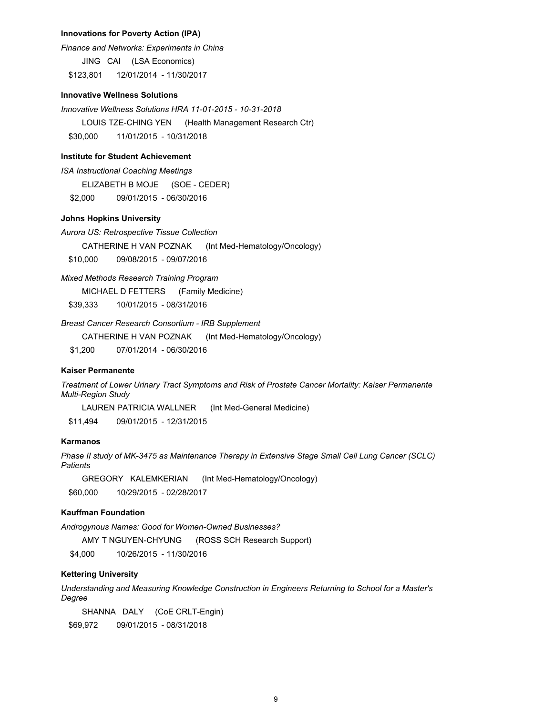### **Innovations for Poverty Action (IPA)**

*Finance and Networks: Experiments in China*

JING CAI (LSA Economics)

\$123,801 12/01/2014 - 11/30/2017

# **Innovative Wellness Solutions**

*Innovative Wellness Solutions HRA 11-01-2015 - 10-31-2018*  LOUIS TZE-CHING YEN (Health Management Research Ctr) \$30,000 11/01/2015 - 10/31/2018

### **Institute for Student Achievement**

*ISA Instructional Coaching Meetings*

ELIZABETH B MOJE (SOE - CEDER)

\$2,000 09/01/2015 - 06/30/2016

# **Johns Hopkins University**

*Aurora US: Retrospective Tissue Collection*

CATHERINE H VAN POZNAK (Int Med-Hematology/Oncology)

\$10,000 09/08/2015 - 09/07/2016

*Mixed Methods Research Training Program*

MICHAEL D FETTERS (Family Medicine)

\$39,333 10/01/2015 - 08/31/2016

*Breast Cancer Research Consortium - IRB Supplement*

CATHERINE H VAN POZNAK (Int Med-Hematology/Oncology)

\$1,200 07/01/2014 - 06/30/2016

### **Kaiser Permanente**

*Treatment of Lower Urinary Tract Symptoms and Risk of Prostate Cancer Mortality: Kaiser Permanente Multi-Region Study* 

LAUREN PATRICIA WALLNER (Int Med-General Medicine)

\$11,494 09/01/2015 - 12/31/2015

# **Karmanos**

*Phase II study of MK-3475 as Maintenance Therapy in Extensive Stage Small Cell Lung Cancer (SCLC) Patients*

GREGORY KALEMKERIAN (Int Med-Hematology/Oncology) \$60,000 10/29/2015 - 02/28/2017

# **Kauffman Foundation**

*Androgynous Names: Good for Women-Owned Businesses?*

AMY T NGUYEN-CHYUNG (ROSS SCH Research Support)

\$4,000 10/26/2015 - 11/30/2016

# **Kettering University**

*Understanding and Measuring Knowledge Construction in Engineers Returning to School for a Master's Degree*

SHANNA DALY (CoE CRLT-Engin)

\$69,972 09/01/2015 - 08/31/2018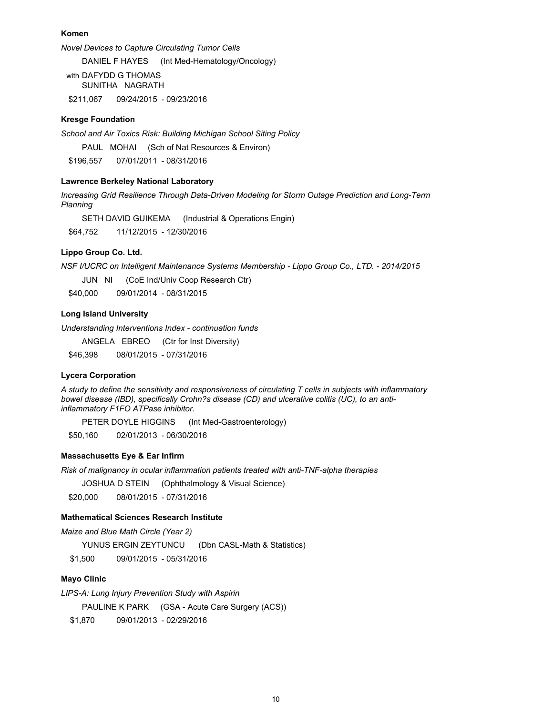## **Komen**

*Novel Devices to Capture Circulating Tumor Cells*

DANIEL F HAYES (Int Med-Hematology/Oncology)

with DAFYDD G THOMAS SUNITHA NAGRATH \$211,067 09/24/2015 - 09/23/2016

# **Kresge Foundation**

*School and Air Toxics Risk: Building Michigan School Siting Policy*

PAUL MOHAI (Sch of Nat Resources & Environ)

\$196,557 07/01/2011 - 08/31/2016

# **Lawrence Berkeley National Laboratory**

*Increasing Grid Resilience Through Data-Driven Modeling for Storm Outage Prediction and Long-Term Planning*

SETH DAVID GUIKEMA (Industrial & Operations Engin)

\$64,752 11/12/2015 - 12/30/2016

# **Lippo Group Co. Ltd.**

*NSF I/UCRC on Intelligent Maintenance Systems Membership - Lippo Group Co., LTD. - 2014/2015*

JUN NI (CoE Ind/Univ Coop Research Ctr)

\$40,000 09/01/2014 - 08/31/2015

# **Long Island University**

*Understanding Interventions Index - continuation funds*

ANGELA EBREO (Ctr for Inst Diversity)

\$46,398 08/01/2015 - 07/31/2016

#### **Lycera Corporation**

*A study to define the sensitivity and responsiveness of circulating T cells in subjects with inflammatory bowel disease (IBD), specifically Crohn?s disease (CD) and ulcerative colitis (UC), to an antiinflammatory F1FO ATPase inhibitor.* 

PETER DOYLE HIGGINS (Int Med-Gastroenterology)

\$50,160 02/01/2013 - 06/30/2016

# **Massachusetts Eye & Ear Infirm**

*Risk of malignancy in ocular inflammation patients treated with anti-TNF-alpha therapies*

JOSHUA D STEIN (Ophthalmology & Visual Science)

\$20,000 08/01/2015 - 07/31/2016

# **Mathematical Sciences Research Institute**

*Maize and Blue Math Circle (Year 2)* YUNUS ERGIN ZEYTUNCU (Dbn CASL-Math & Statistics) \$1,500 09/01/2015 - 05/31/2016

#### **Mayo Clinic**

*LIPS-A: Lung Injury Prevention Study with Aspirin* 

PAULINE K PARK (GSA - Acute Care Surgery (ACS))

\$1,870 09/01/2013 - 02/29/2016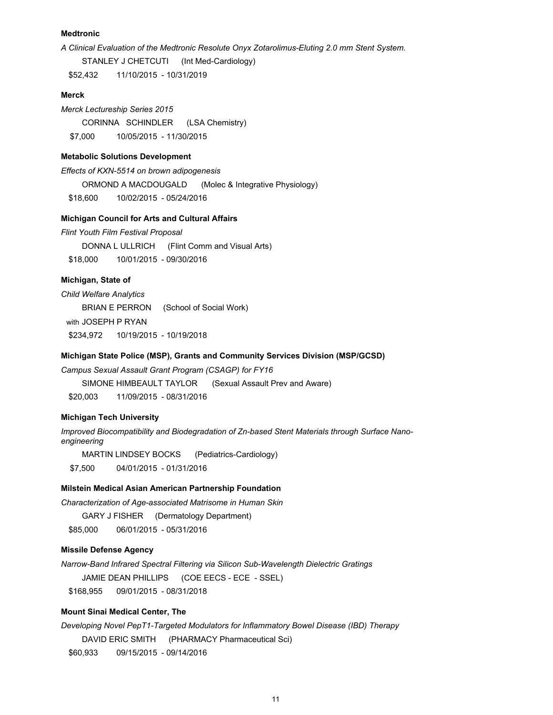# **Medtronic**

*A Clinical Evaluation of the Medtronic Resolute Onyx Zotarolimus-Eluting 2.0 mm Stent System.*

STANLEY J CHETCUTI (Int Med-Cardiology)

\$52,432 11/10/2015 - 10/31/2019

## **Merck**

*Merck Lectureship Series 2015* CORINNA SCHINDLER (LSA Chemistry) \$7,000 10/05/2015 - 11/30/2015

### **Metabolic Solutions Development**

*Effects of KXN-5514 on brown adipogenesis* ORMOND A MACDOUGALD (Molec & Integrative Physiology) \$18,600 10/02/2015 - 05/24/2016

#### **Michigan Council for Arts and Cultural Affairs**

*Flint Youth Film Festival Proposal* DONNA L ULLRICH (Flint Comm and Visual Arts) \$18,000 10/01/2015 - 09/30/2016

# **Michigan, State of**

*Child Welfare Analytics*

BRIAN E PERRON (School of Social Work) with JOSEPH P RYAN \$234,972 10/19/2015 - 10/19/2018

# **Michigan State Police (MSP), Grants and Community Services Division (MSP/GCSD)**

*Campus Sexual Assault Grant Program (CSAGP) for FY16* SIMONE HIMBEAULT TAYLOR (Sexual Assault Prev and Aware)

\$20,003 11/09/2015 - 08/31/2016

# **Michigan Tech University**

*Improved Biocompatibility and Biodegradation of Zn-based Stent Materials through Surface Nanoengineering*

MARTIN LINDSEY BOCKS (Pediatrics-Cardiology) \$7,500 04/01/2015 - 01/31/2016

### **Milstein Medical Asian American Partnership Foundation**

*Characterization of Age-associated Matrisome in Human Skin*

GARY J FISHER (Dermatology Department) \$85,000 06/01/2015 - 05/31/2016

### **Missile Defense Agency**

*Narrow-Band Infrared Spectral Filtering via Silicon Sub-Wavelength Dielectric Gratings* JAMIE DEAN PHILLIPS (COE EECS - ECE - SSEL)

\$168,955 09/01/2015 - 08/31/2018

## **Mount Sinai Medical Center, The**

*Developing Novel PepT1-Targeted Modulators for Inflammatory Bowel Disease (IBD) Therapy*

DAVID ERIC SMITH (PHARMACY Pharmaceutical Sci)

\$60,933 09/15/2015 - 09/14/2016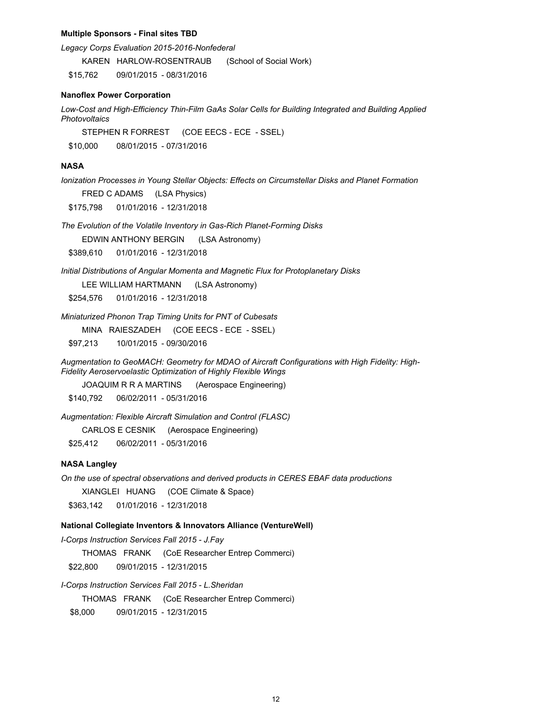#### **Multiple Sponsors - Final sites TBD**

*Legacy Corps Evaluation 2015-2016-Nonfederal*

KAREN HARLOW-ROSENTRAUB (School of Social Work) \$15,762 09/01/2015 - 08/31/2016

#### **Nanoflex Power Corporation**

*Low-Cost and High-Efficiency Thin-Film GaAs Solar Cells for Building Integrated and Building Applied Photovoltaics*

STEPHEN R FORREST (COE EECS - ECE - SSEL)

\$10,000 08/01/2015 - 07/31/2016

# **NASA**

*Ionization Processes in Young Stellar Objects: Effects on Circumstellar Disks and Planet Formation* FRED C ADAMS (LSA Physics)

\$175,798 01/01/2016 - 12/31/2018

*The Evolution of the Volatile Inventory in Gas-Rich Planet-Forming Disks*

EDWIN ANTHONY BERGIN (LSA Astronomy)

\$389,610 01/01/2016 - 12/31/2018

*Initial Distributions of Angular Momenta and Magnetic Flux for Protoplanetary Disks* LEE WILLIAM HARTMANN (LSA Astronomy)

\$254,576 01/01/2016 - 12/31/2018

*Miniaturized Phonon Trap Timing Units for PNT of Cubesats*

MINA RAIESZADEH (COE EECS - ECE - SSEL)

\$97,213 10/01/2015 - 09/30/2016

*Augmentation to GeoMACH: Geometry for MDAO of Aircraft Configurations with High Fidelity: High-Fidelity Aeroservoelastic Optimization of Highly Flexible Wings*

JOAQUIM R R A MARTINS (Aerospace Engineering)

\$140,792 06/02/2011 - 05/31/2016

*Augmentation: Flexible Aircraft Simulation and Control (FLASC)*

CARLOS E CESNIK (Aerospace Engineering)

\$25,412 06/02/2011 - 05/31/2016

### **NASA Langley**

*On the use of spectral observations and derived products in CERES EBAF data productions* XIANGLEI HUANG (COE Climate & Space) \$363,142 01/01/2016 - 12/31/2018

# **National Collegiate Inventors & Innovators Alliance (VentureWell)**

*I-Corps Instruction Services Fall 2015 - J.Fay*  THOMAS FRANK (CoE Researcher Entrep Commerci) \$22,800 09/01/2015 - 12/31/2015

*I-Corps Instruction Services Fall 2015 - L.Sheridan*

THOMAS FRANK (CoE Researcher Entrep Commerci)

\$8,000 09/01/2015 - 12/31/2015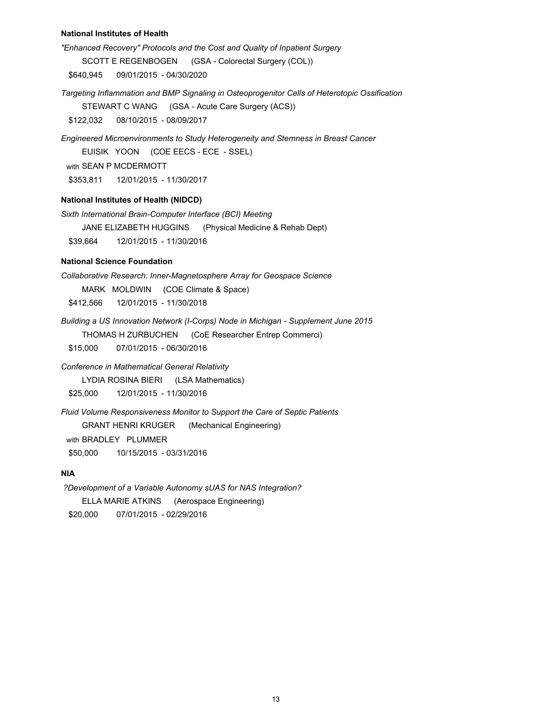### **National Institutes of Health**

*"Enhanced Recovery" Protocols and the Cost and Quality of Inpatient Surgery* SCOTT E REGENBOGEN (GSA - Colorectal Surgery (COL))

\$640,945 09/01/2015 - 04/30/2020

*Targeting Inflammation and BMP Signaling in Osteoprogenitor Cells of Heterotopic Ossification*

STEWART C WANG (GSA - Acute Care Surgery (ACS))

\$122,032 08/10/2015 - 08/09/2017

*Engineered Microenvironments to Study Heterogeneity and Stemness in Breast Cancer*

EUISIK YOON (COE EECS - ECE - SSEL)

with SEAN P MCDERMOTT

\$353,811 12/01/2015 - 11/30/2017

# **National Institutes of Health (NIDCD)**

*Sixth International Brain-Computer Interface (BCI) Meeting*

JANE ELIZABETH HUGGINS (Physical Medicine & Rehab Dept)

\$39,664 12/01/2015 - 11/30/2016

# **National Science Foundation**

*Collaborative Research: Inner-Magnetosphere Array for Geospace Science*

MARK MOLDWIN (COE Climate & Space)

\$412,566 12/01/2015 - 11/30/2018

*Building a US Innovation Network (I-Corps) Node in Michigan - Supplement June 2015*

THOMAS H ZURBUCHEN (CoE Researcher Entrep Commerci)

\$15,000 07/01/2015 - 06/30/2016

*Conference in Mathematical General Relativity*

LYDIA ROSINA BIERI (LSA Mathematics)

\$25,000 12/01/2015 - 11/30/2016

*Fluid Volume Responsiveness Monitor to Support the Care of Septic Patients* GRANT HENRI KRUGER (Mechanical Engineering)

with BRADLEY PLUMMER

\$50,000 10/15/2015 - 03/31/2016

# **NIA**

 *?Development of a Variable Autonomy sUAS for NAS Integration?* ELLA MARIE ATKINS (Aerospace Engineering)

\$20,000 07/01/2015 - 02/29/2016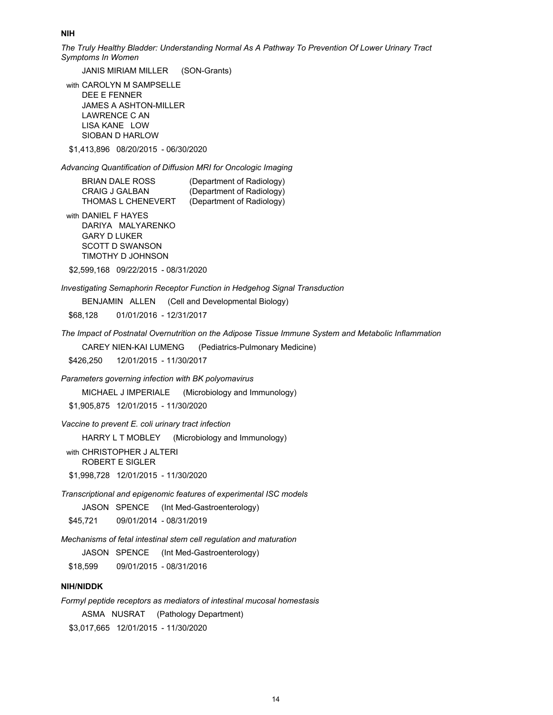**NIH**

*The Truly Healthy Bladder: Understanding Normal As A Pathway To Prevention Of Lower Urinary Tract Symptoms In Women*

JANIS MIRIAM MILLER (SON-Grants)

with CAROLYN M SAMPSELLE DEE E FENNER JAMES A ASHTON-MILLER LAWRENCE C AN LISA KANE LOW SIOBAN D HARLOW

\$1,413,896 08/20/2015 - 06/30/2020

*Advancing Quantification of Diffusion MRI for Oncologic Imaging*

BRIAN DALE ROSS (Department of Radiology) CRAIG J GALBAN (Department of Radiology) THOMAS L CHENEVERT (Department of Radiology)

with DANIEL F HAYES DARIYA MALYARENKO GARY D LUKER SCOTT D SWANSON TIMOTHY D JOHNSON

\$2,599,168 09/22/2015 - 08/31/2020

*Investigating Semaphorin Receptor Function in Hedgehog Signal Transduction* 

BENJAMIN ALLEN (Cell and Developmental Biology)

\$68,128 01/01/2016 - 12/31/2017

*The Impact of Postnatal Overnutrition on the Adipose Tissue Immune System and Metabolic Inflammation*

CAREY NIEN-KAI LUMENG (Pediatrics-Pulmonary Medicine)

\$426,250 12/01/2015 - 11/30/2017

*Parameters governing infection with BK polyomavirus*

MICHAEL J IMPERIALE (Microbiology and Immunology)

\$1,905,875 12/01/2015 - 11/30/2020

*Vaccine to prevent E. coli urinary tract infection*

HARRY L T MOBLEY (Microbiology and Immunology)

with CHRISTOPHER J ALTERI ROBERT E SIGLER

\$1,998,728 12/01/2015 - 11/30/2020

*Transcriptional and epigenomic features of experimental ISC models*

JASON SPENCE (Int Med-Gastroenterology)

\$45,721 09/01/2014 - 08/31/2019

*Mechanisms of fetal intestinal stem cell regulation and maturation*

JASON SPENCE (Int Med-Gastroenterology)

\$18,599 09/01/2015 - 08/31/2016

### **NIH/NIDDK**

*Formyl peptide receptors as mediators of intestinal mucosal homestasis* ASMA NUSRAT (Pathology Department) \$3,017,665 12/01/2015 - 11/30/2020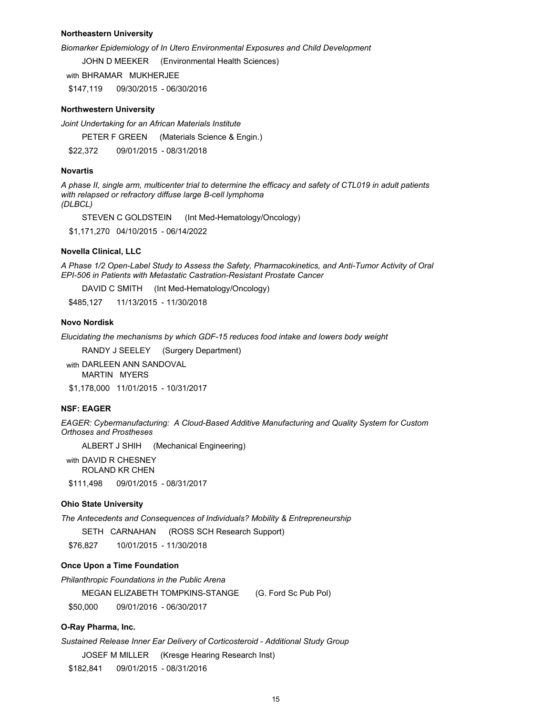### **Northeastern University**

*Biomarker Epidemiology of In Utero Environmental Exposures and Child Development*

JOHN D MEEKER (Environmental Health Sciences)

with BHRAMAR MUKHERJEE

\$147,119 09/30/2015 - 06/30/2016

### **Northwestern University**

*Joint Undertaking for an African Materials Institute*

PETER F GREEN (Materials Science & Engin.)

\$22,372 09/01/2015 - 08/31/2018

#### **Novartis**

*A phase II, single arm, multicenter trial to determine the efficacy and safety of CTL019 in adult patients with relapsed or refractory diffuse large B-cell lymphoma (DLBCL)*

STEVEN C GOLDSTEIN (Int Med-Hematology/Oncology)

\$1,171,270 04/10/2015 - 06/14/2022

### **Novella Clinical, LLC**

*A Phase 1/2 Open-Label Study to Assess the Safety, Pharmacokinetics, and Anti-Tumor Activity of Oral EPI-506 in Patients with Metastatic Castration-Resistant Prostate Cancer*

DAVID C SMITH (Int Med-Hematology/Oncology)

\$485,127 11/13/2015 - 11/30/2018

#### **Novo Nordisk**

*Elucidating the mechanisms by which GDF-15 reduces food intake and lowers body weight*

RANDY J SEELEY (Surgery Department)

with DARLEEN ANN SANDOVAL MARTIN MYERS

\$1,178,000 11/01/2015 - 10/31/2017

# **NSF: EAGER**

*EAGER: Cybermanufacturing: A Cloud-Based Additive Manufacturing and Quality System for Custom Orthoses and Prostheses*

ALBERT J SHIH (Mechanical Engineering)

with DAVID R CHESNEY ROLAND KR CHEN \$111,498 09/01/2015 - 08/31/2017

#### **Ohio State University**

*The Antecedents and Consequences of Individuals? Mobility & Entrepreneurship*

SETH CARNAHAN (ROSS SCH Research Support)

\$76,827 10/01/2015 - 11/30/2018

# **Once Upon a Time Foundation**

*Philanthropic Foundations in the Public Arena* 

MEGAN ELIZABETH TOMPKINS-STANGE (G. Ford Sc Pub Pol)

\$50,000 09/01/2016 - 06/30/2017

# **O-Ray Pharma, Inc.**

*Sustained Release Inner Ear Delivery of Corticosteroid - Additional Study Group*

JOSEF M MILLER (Kresge Hearing Research Inst)

\$182,841 09/01/2015 - 08/31/2016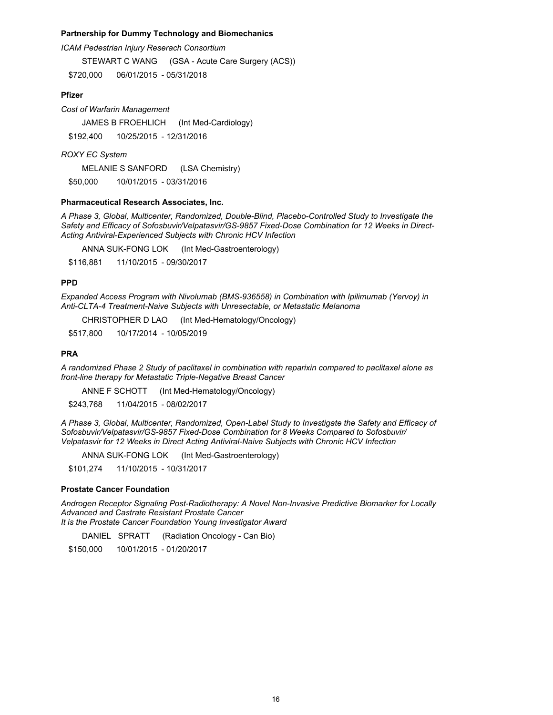# **Partnership for Dummy Technology and Biomechanics**

*ICAM Pedestrian Injury Reserach Consortium*

STEWART C WANG (GSA - Acute Care Surgery (ACS))

\$720,000 06/01/2015 - 05/31/2018

# **Pfizer**

*Cost of Warfarin Management*

JAMES B FROEHLICH (Int Med-Cardiology) \$192,400 10/25/2015 - 12/31/2016

*ROXY EC System*

MELANIE S SANFORD (LSA Chemistry)

\$50,000 10/01/2015 - 03/31/2016

### **Pharmaceutical Research Associates, Inc.**

*A Phase 3, Global, Multicenter, Randomized, Double-Blind, Placebo-Controlled Study to Investigate the Safety and Efficacy of Sofosbuvir/Velpatasvir/GS-9857 Fixed-Dose Combination for 12 Weeks in Direct-Acting Antiviral-Experienced Subjects with Chronic HCV Infection*

ANNA SUK-FONG LOK (Int Med-Gastroenterology)

\$116,881 11/10/2015 - 09/30/2017

# **PPD**

*Expanded Access Program with Nivolumab (BMS-936558) in Combination with Ipilimumab (Yervoy) in Anti-CLTA-4 Treatment-Naive Subjects with Unresectable, or Metastatic Melanoma* 

CHRISTOPHER D LAO (Int Med-Hematology/Oncology)

\$517,800 10/17/2014 - 10/05/2019

# **PRA**

*A randomized Phase 2 Study of paclitaxel in combination with reparixin compared to paclitaxel alone as front-line therapy for Metastatic Triple-Negative Breast Cancer*

ANNE F SCHOTT (Int Med-Hematology/Oncology)

\$243,768 11/04/2015 - 08/02/2017

*A Phase 3, Global, Multicenter, Randomized, Open-Label Study to Investigate the Safety and Efficacy of Sofosbuvir/Velpatasvir/GS-9857 Fixed-Dose Combination for 8 Weeks Compared to Sofosbuvir/ Velpatasvir for 12 Weeks in Direct Acting Antiviral-Naive Subjects with Chronic HCV Infection*

ANNA SUK-FONG LOK (Int Med-Gastroenterology)

\$101,274 11/10/2015 - 10/31/2017

# **Prostate Cancer Foundation**

*Androgen Receptor Signaling Post-Radiotherapy: A Novel Non-Invasive Predictive Biomarker for Locally Advanced and Castrate Resistant Prostate Cancer It is the Prostate Cancer Foundation Young Investigator Award*

DANIEL SPRATT (Radiation Oncology - Can Bio)

\$150,000 10/01/2015 - 01/20/2017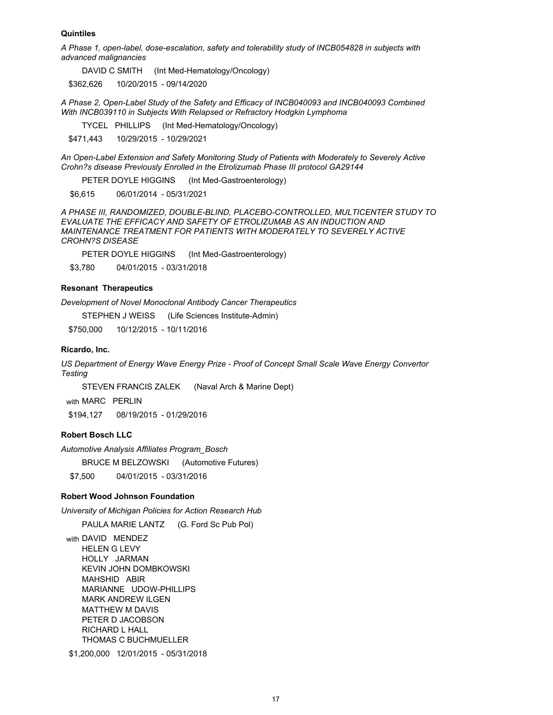### **Quintiles**

*A Phase 1, open-label, dose-escalation, safety and tolerability study of INCB054828 in subjects with advanced malignancies*

DAVID C SMITH (Int Med-Hematology/Oncology)

\$362,626 10/20/2015 - 09/14/2020

*A Phase 2, Open-Label Study of the Safety and Efficacy of INCB040093 and INCB040093 Combined With INCB039110 in Subjects With Relapsed or Refractory Hodgkin Lymphoma*

TYCEL PHILLIPS (Int Med-Hematology/Oncology)

\$471,443 10/29/2015 - 10/29/2021

*An Open-Label Extension and Safety Monitoring Study of Patients with Moderately to Severely Active Crohn?s disease Previously Enrolled in the Etrolizumab Phase III protocol GA29144*

PETER DOYLE HIGGINS (Int Med-Gastroenterology)

\$6,615 06/01/2014 - 05/31/2021

*A PHASE III, RANDOMIZED, DOUBLE-BLIND, PLACEBO-CONTROLLED, MULTICENTER STUDY TO EVALUATE THE EFFICACY AND SAFETY OF ETROLIZUMAB AS AN INDUCTION AND MAINTENANCE TREATMENT FOR PATIENTS WITH MODERATELY TO SEVERELY ACTIVE CROHN?S DISEASE* 

PETER DOYLE HIGGINS (Int Med-Gastroenterology)

\$3,780 04/01/2015 - 03/31/2018

# **Resonant Therapeutics**

*Development of Novel Monoclonal Antibody Cancer Therapeutics*

STEPHEN J WEISS (Life Sciences Institute-Admin)

\$750,000 10/12/2015 - 10/11/2016

#### **Ricardo, Inc.**

*US Department of Energy Wave Energy Prize - Proof of Concept Small Scale Wave Energy Convertor Testing*

STEVEN FRANCIS ZALEK (Naval Arch & Marine Dept)

with MARC PERLIN

\$194,127 08/19/2015 - 01/29/2016

#### **Robert Bosch LLC**

*Automotive Analysis Affiliates Program\_Bosch*

BRUCE M BELZOWSKI (Automotive Futures)

\$7,500 04/01/2015 - 03/31/2016

# **Robert Wood Johnson Foundation**

*University of Michigan Policies for Action Research Hub*

PAULA MARIE LANTZ (G. Ford Sc Pub Pol) with DAVID MENDEZ HELEN G LEVY HOLLY JARMAN KEVIN JOHN DOMBKOWSKI MAHSHID ABIR MARIANNE UDOW-PHILLIPS MARK ANDREW ILGEN MATTHEW M DAVIS PETER D JACOBSON RICHARD L HALL THOMAS C BUCHMUELLER

\$1,200,000 12/01/2015 - 05/31/2018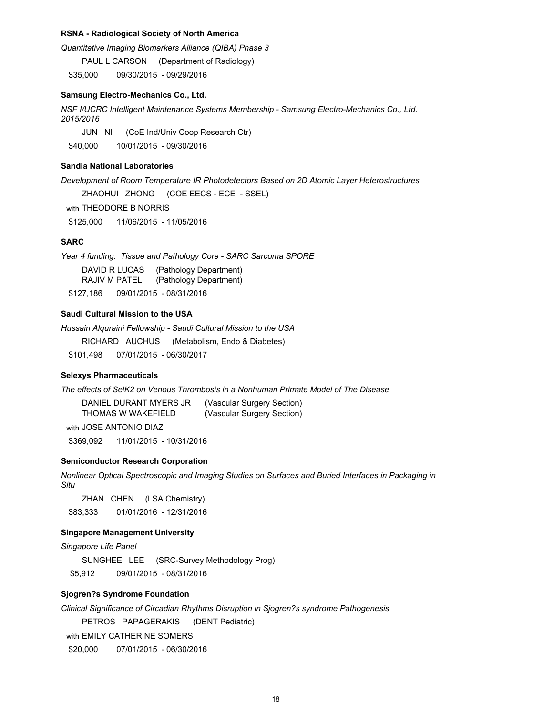### **RSNA - Radiological Society of North America**

*Quantitative Imaging Biomarkers Alliance (QIBA) Phase 3*

PAUL L CARSON (Department of Radiology)

\$35,000 09/30/2015 - 09/29/2016

# **Samsung Electro-Mechanics Co., Ltd.**

*NSF I/UCRC Intelligent Maintenance Systems Membership - Samsung Electro-Mechanics Co., Ltd. 2015/2016*

JUN NI (CoE Ind/Univ Coop Research Ctr)

\$40,000 10/01/2015 - 09/30/2016

# **Sandia National Laboratories**

*Development of Room Temperature IR Photodetectors Based on 2D Atomic Layer Heterostructures*

ZHAOHUI ZHONG (COE EECS - ECE - SSEL)

with THEODORE B NORRIS

\$125,000 11/06/2015 - 11/05/2016

#### **SARC**

*Year 4 funding: Tissue and Pathology Core - SARC Sarcoma SPORE* DAVID R LUCAS (Pathology Department) RAJIV M PATEL (Pathology Department) \$127,186 09/01/2015 - 08/31/2016

# **Saudi Cultural Mission to the USA**

*Hussain Alquraini Fellowship - Saudi Cultural Mission to the USA*

RICHARD AUCHUS (Metabolism, Endo & Diabetes)

\$101,498 07/01/2015 - 06/30/2017

#### **Selexys Pharmaceuticals**

*The effects of SelK2 on Venous Thrombosis in a Nonhuman Primate Model of The Disease*

| DANIEL DURANT MYERS JR | (Vascular Surgery Section) |
|------------------------|----------------------------|
| THOMAS W WAKEFIELD     | (Vascular Surgery Section) |

with JOSE ANTONIO DIAZ \$369,092 11/01/2015 - 10/31/2016

#### **Semiconductor Research Corporation**

*Nonlinear Optical Spectroscopic and Imaging Studies on Surfaces and Buried Interfaces in Packaging in Situ*

ZHAN CHEN (LSA Chemistry) \$83,333 01/01/2016 - 12/31/2016

### **Singapore Management University**

*Singapore Life Panel*

SUNGHEE LEE (SRC-Survey Methodology Prog)

\$5,912 09/01/2015 - 08/31/2016

# **Sjogren?s Syndrome Foundation**

*Clinical Significance of Circadian Rhythms Disruption in Sjogren?s syndrome Pathogenesis* 

PETROS PAPAGERAKIS (DENT Pediatric)

with EMILY CATHERINE SOMERS

\$20,000 07/01/2015 - 06/30/2016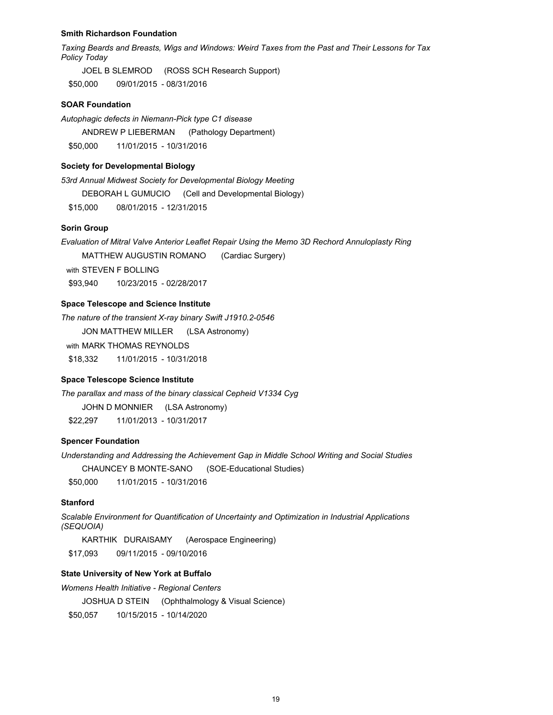#### **Smith Richardson Foundation**

*Taxing Beards and Breasts, Wigs and Windows: Weird Taxes from the Past and Their Lessons for Tax Policy Today*

JOEL B SLEMROD (ROSS SCH Research Support) \$50,000 09/01/2015 - 08/31/2016

# **SOAR Foundation**

*Autophagic defects in Niemann-Pick type C1 disease* ANDREW P LIEBERMAN (Pathology Department) \$50,000 11/01/2015 - 10/31/2016

#### **Society for Developmental Biology**

*53rd Annual Midwest Society for Developmental Biology Meeting* 

DEBORAH L GUMUCIO (Cell and Developmental Biology)

\$15,000 08/01/2015 - 12/31/2015

# **Sorin Group**

*Evaluation of Mitral Valve Anterior Leaflet Repair Using the Memo 3D Rechord Annuloplasty Ring*

MATTHEW AUGUSTIN ROMANO (Cardiac Surgery)

with STEVEN F BOLLING

\$93,940 10/23/2015 - 02/28/2017

# **Space Telescope and Science Institute**

*The nature of the transient X-ray binary Swift J1910.2-0546* JON MATTHEW MILLER (LSA Astronomy) with MARK THOMAS REYNOLDS \$18,332 11/01/2015 - 10/31/2018

# **Space Telescope Science Institute**

*The parallax and mass of the binary classical Cepheid V1334 Cyg* JOHN D MONNIER (LSA Astronomy)

\$22,297 11/01/2013 - 10/31/2017

# **Spencer Foundation**

*Understanding and Addressing the Achievement Gap in Middle School Writing and Social Studies*

CHAUNCEY B MONTE-SANO (SOE-Educational Studies)

\$50,000 11/01/2015 - 10/31/2016

#### **Stanford**

*Scalable Environment for Quantification of Uncertainty and Optimization in Industrial Applications (SEQUOIA)* 

KARTHIK DURAISAMY (Aerospace Engineering)

\$17,093 09/11/2015 - 09/10/2016

# **State University of New York at Buffalo**

*Womens Health Initiative - Regional Centers*

JOSHUA D STEIN (Ophthalmology & Visual Science)

\$50,057 10/15/2015 - 10/14/2020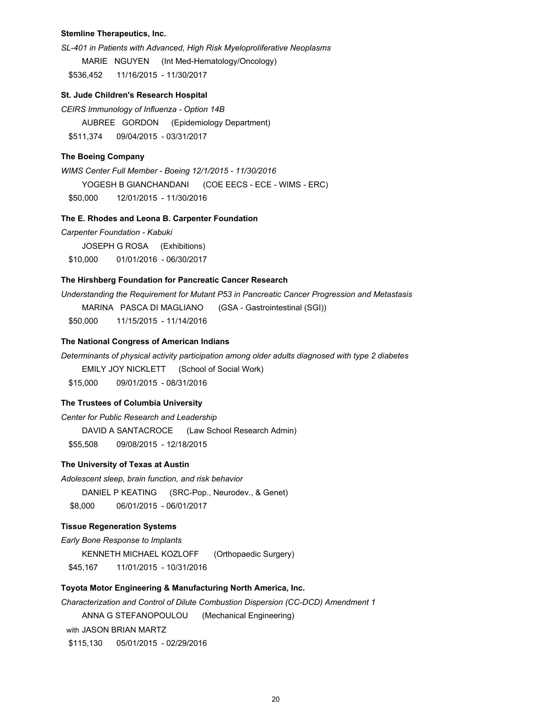### **Stemline Therapeutics, Inc.**

*SL-401 in Patients with Advanced, High Risk Myeloproliferative Neoplasms*

MARIE NGUYEN (Int Med-Hematology/Oncology)

\$536,452 11/16/2015 - 11/30/2017

## **St. Jude Children's Research Hospital**

*CEIRS Immunology of Influenza - Option 14B* AUBREE GORDON (Epidemiology Department) \$511,374 09/04/2015 - 03/31/2017

#### **The Boeing Company**

*WIMS Center Full Member - Boeing 12/1/2015 - 11/30/2016* YOGESH B GIANCHANDANI (COE EECS - ECE - WIMS - ERC) \$50,000 12/01/2015 - 11/30/2016

### **The E. Rhodes and Leona B. Carpenter Foundation**

*Carpenter Foundation - Kabuki* JOSEPH G ROSA (Exhibitions) \$10,000 01/01/2016 - 06/30/2017

# **The Hirshberg Foundation for Pancreatic Cancer Research**

*Understanding the Requirement for Mutant P53 in Pancreatic Cancer Progression and Metastasis*

MARINA PASCA DI MAGLIANO (GSA - Gastrointestinal (SGI)) \$50,000 11/15/2015 - 11/14/2016

### **The National Congress of American Indians**

*Determinants of physical activity participation among older adults diagnosed with type 2 diabetes*

EMILY JOY NICKLETT (School of Social Work)

\$15,000 09/01/2015 - 08/31/2016

# **The Trustees of Columbia University**

*Center for Public Research and Leadership* DAVID A SANTACROCE (Law School Research Admin) \$55,508 09/08/2015 - 12/18/2015

#### **The University of Texas at Austin**

*Adolescent sleep, brain function, and risk behavior*

DANIEL P KEATING (SRC-Pop., Neurodev., & Genet)

\$8,000 06/01/2015 - 06/01/2017

# **Tissue Regeneration Systems**

*Early Bone Response to Implants* KENNETH MICHAEL KOZLOFF (Orthopaedic Surgery) \$45,167 11/01/2015 - 10/31/2016

# **Toyota Motor Engineering & Manufacturing North America, Inc.**

*Characterization and Control of Dilute Combustion Dispersion (CC-DCD) Amendment 1*

ANNA G STEFANOPOULOU (Mechanical Engineering)

with JASON BRIAN MARTZ

\$115,130 05/01/2015 - 02/29/2016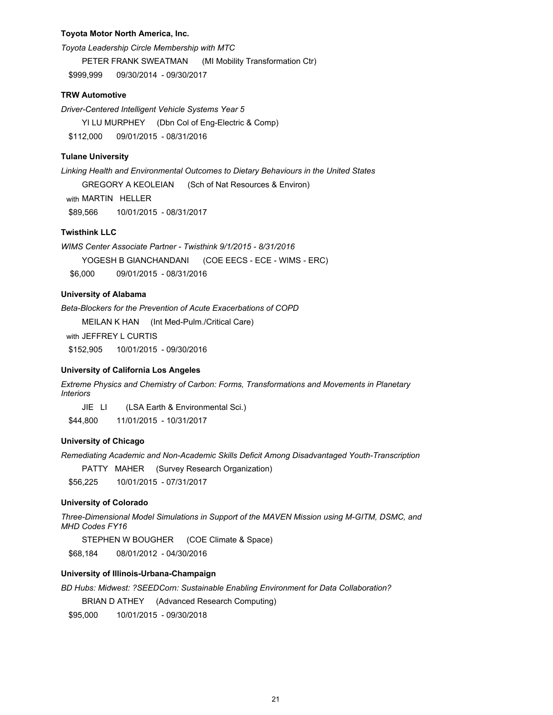### **Toyota Motor North America, Inc.**

*Toyota Leadership Circle Membership with MTC* PETER FRANK SWEATMAN (MI Mobility Transformation Ctr) \$999,999 09/30/2014 - 09/30/2017

### **TRW Automotive**

*Driver-Centered Intelligent Vehicle Systems Year 5* YI LU MURPHEY (Dbn Col of Eng-Electric & Comp) \$112,000 09/01/2015 - 08/31/2016

#### **Tulane University**

*Linking Health and Environmental Outcomes to Dietary Behaviours in the United States* GREGORY A KEOLEIAN (Sch of Nat Resources & Environ) with MARTIN HELLER \$89,566 10/01/2015 - 08/31/2017

# **Twisthink LLC**

*WIMS Center Associate Partner - Twisthink 9/1/2015 - 8/31/2016* YOGESH B GIANCHANDANI (COE EECS - ECE - WIMS - ERC) \$6,000 09/01/2015 - 08/31/2016

# **University of Alabama**

*Beta-Blockers for the Prevention of Acute Exacerbations of COPD*

MEILAN K HAN (Int Med-Pulm./Critical Care)

with JEFFREY L CURTIS

\$152,905 10/01/2015 - 09/30/2016

# **University of California Los Angeles**

*Extreme Physics and Chemistry of Carbon: Forms, Transformations and Movements in Planetary Interiors*

JIE LI (LSA Earth & Environmental Sci.)

\$44,800 11/01/2015 - 10/31/2017

# **University of Chicago**

*Remediating Academic and Non-Academic Skills Deficit Among Disadvantaged Youth-Transcription*

PATTY MAHER (Survey Research Organization)

\$56,225 10/01/2015 - 07/31/2017

# **University of Colorado**

*Three-Dimensional Model Simulations in Support of the MAVEN Mission using M-GITM, DSMC, and MHD Codes FY16*

STEPHEN W BOUGHER (COE Climate & Space)

\$68,184 08/01/2012 - 04/30/2016

#### **University of Illinois-Urbana-Champaign**

*BD Hubs: Midwest: ?SEEDCorn: Sustainable Enabling Environment for Data Collaboration?*

BRIAN D ATHEY (Advanced Research Computing)

\$95,000 10/01/2015 - 09/30/2018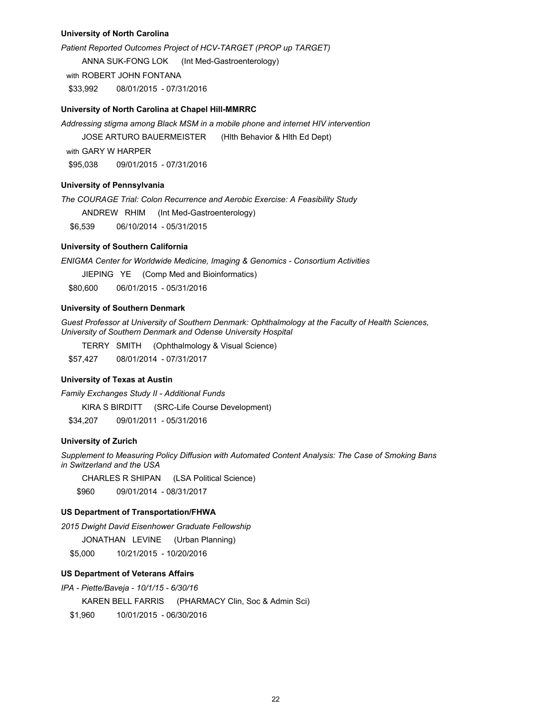# **University of North Carolina**

*Patient Reported Outcomes Project of HCV-TARGET (PROP up TARGET)* ANNA SUK-FONG LOK (Int Med-Gastroenterology) with ROBERT JOHN FONTANA \$33,992 08/01/2015 - 07/31/2016

#### **University of North Carolina at Chapel Hill-MMRRC**

*Addressing stigma among Black MSM in a mobile phone and internet HIV intervention*

JOSE ARTURO BAUERMEISTER (Hlth Behavior & Hlth Ed Dept)

with GARY W HARPER

\$95,038 09/01/2015 - 07/31/2016

# **University of Pennsylvania**

*The COURAGE Trial: Colon Recurrence and Aerobic Exercise: A Feasibility Study* 

ANDREW RHIM (Int Med-Gastroenterology)

\$6,539 06/10/2014 - 05/31/2015

# **University of Southern California**

*ENIGMA Center for Worldwide Medicine, Imaging & Genomics - Consortium Activities*

JIEPING YE (Comp Med and Bioinformatics)

\$80,600 06/01/2015 - 05/31/2016

# **University of Southern Denmark**

*Guest Professor at University of Southern Denmark: Ophthalmology at the Faculty of Health Sciences, University of Southern Denmark and Odense University Hospital*

TERRY SMITH (Ophthalmology & Visual Science) \$57,427 08/01/2014 - 07/31/2017

# **University of Texas at Austin**

*Family Exchanges Study II - Additional Funds* KIRA S BIRDITT (SRC-Life Course Development)

\$34,207 09/01/2011 - 05/31/2016

### **University of Zurich**

*Supplement to Measuring Policy Diffusion with Automated Content Analysis: The Case of Smoking Bans in Switzerland and the USA*

CHARLES R SHIPAN (LSA Political Science)

\$960 09/01/2014 - 08/31/2017

# **US Department of Transportation/FHWA**

*2015 Dwight David Eisenhower Graduate Fellowship*

JONATHAN LEVINE (Urban Planning)

\$5,000 10/21/2015 - 10/20/2016

# **US Department of Veterans Affairs**

*IPA - Piette/Baveja - 10/1/15 - 6/30/16*

KAREN BELL FARRIS (PHARMACY Clin, Soc & Admin Sci)

\$1,960 10/01/2015 - 06/30/2016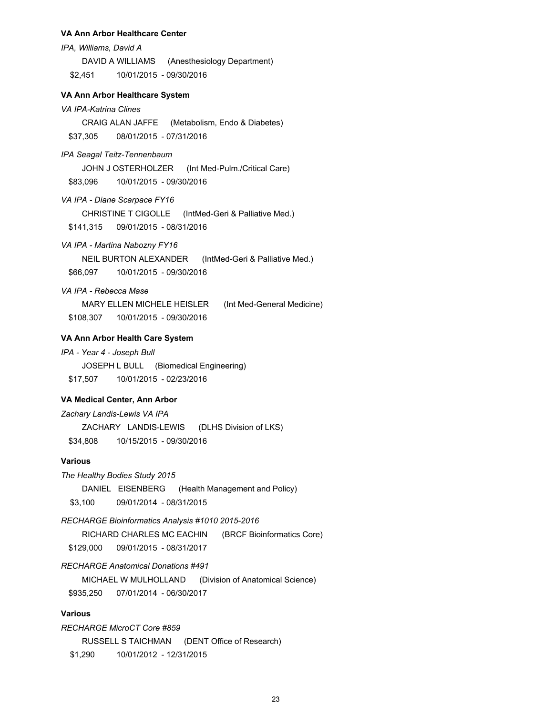#### **VA Ann Arbor Healthcare Center**

*IPA, Williams, David A*

DAVID A WILLIAMS (Anesthesiology Department)

\$2,451 10/01/2015 - 09/30/2016

# **VA Ann Arbor Healthcare System**

# *VA IPA-Katrina Clines*

CRAIG ALAN JAFFE (Metabolism, Endo & Diabetes) \$37,305 08/01/2015 - 07/31/2016

#### *IPA Seagal Teitz-Tennenbaum*

JOHN J OSTERHOLZER (Int Med-Pulm./Critical Care)

\$83,096 10/01/2015 - 09/30/2016

*VA IPA - Diane Scarpace FY16*

CHRISTINE T CIGOLLE (IntMed-Geri & Palliative Med.)

\$141,315 09/01/2015 - 08/31/2016

# *VA IPA - Martina Nabozny FY16*

NEIL BURTON ALEXANDER (IntMed-Geri & Palliative Med.) \$66,097 10/01/2015 - 09/30/2016

# *VA IPA - Rebecca Mase*

MARY ELLEN MICHELE HEISLER (Int Med-General Medicine) \$108,307 10/01/2015 - 09/30/2016

# **VA Ann Arbor Health Care System**

### *IPA - Year 4 - Joseph Bull*

JOSEPH L BULL (Biomedical Engineering) \$17,507 10/01/2015 - 02/23/2016

# **VA Medical Center, Ann Arbor**

*Zachary Landis-Lewis VA IPA*

ZACHARY LANDIS-LEWIS (DLHS Division of LKS) \$34,808 10/15/2015 - 09/30/2016

# **Various**

*The Healthy Bodies Study 2015*

DANIEL EISENBERG (Health Management and Policy)

\$3,100 09/01/2014 - 08/31/2015

#### *RECHARGE Bioinformatics Analysis #1010 2015-2016*

RICHARD CHARLES MC EACHIN (BRCF Bioinformatics Core)

\$129,000 09/01/2015 - 08/31/2017

# *RECHARGE Anatomical Donations #491*

MICHAEL W MULHOLLAND (Division of Anatomical Science) \$935,250 07/01/2014 - 06/30/2017

# **Various**

*RECHARGE MicroCT Core #859*  RUSSELL S TAICHMAN (DENT Office of Research) \$1,290 10/01/2012 - 12/31/2015